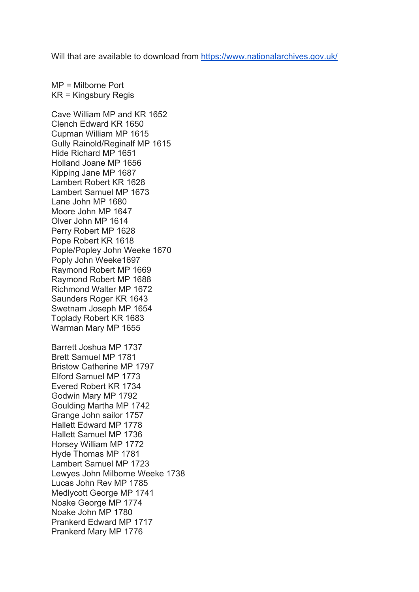Will that are available to download from https://www.nationalarchives.gov.uk/

MP = Milborne Port KR = Kingsbury Regis

Cave William MP and KR 1652 Clench Edward KR 1650 Cupman William MP 1615 Gully Rainold/Reginalf MP 1615 Hide Richard MP 1651 Holland Joane MP 1656 Kipping Jane MP 1687 Lambert Robert KR 1628 Lambert Samuel MP 1673 Lane John MP 1680 Moore John MP 1647 Olver John MP 1614 Perry Robert MP 1628 Pope Robert KR 1618 Pople/Popley John Weeke 1670 Poply John Weeke1697 Raymond Robert MP 1669 Raymond Robert MP 1688 Richmond Walter MP 1672 Saunders Roger KR 1643 Swetnam Joseph MP 1654 Toplady Robert KR 1683 Warman Mary MP 1655 Barrett Joshua MP 1737 Brett Samuel MP 1781 Bristow Catherine MP 1797 Elford Samuel MP 1773 Evered Robert KR 1734 Godwin Mary MP 1792 Goulding Martha MP 1742 Grange John sailor 1757 Hallett Edward MP 1778 Hallett Samuel MP 1736 Horsey William MP 1772 Hyde Thomas MP 1781 Lambert Samuel MP 1723 Lewyes John Milborne Weeke 1738 Lucas John Rev MP 1785 Medlycott George MP 1741 Noake George MP 1774 Noake John MP 1780 Prankerd Edward MP 1717 Prankerd Mary MP 1776